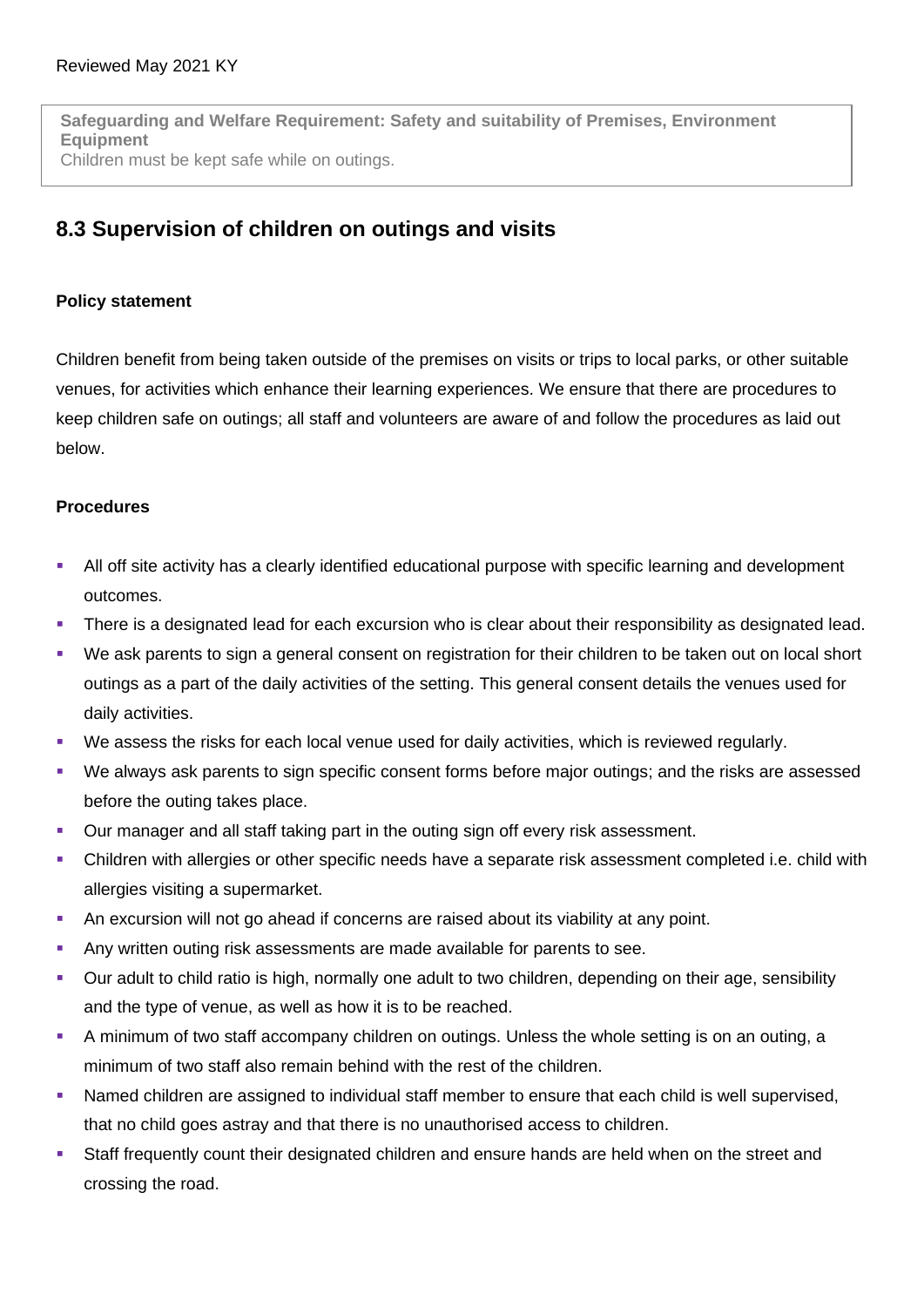**Safeguarding and Welfare Requirement: Safety and suitability of Premises, Environment Equipment** Children must be kept safe while on outings.

## **8.3 Supervision of children on outings and visits**

## **Policy statement**

Children benefit from being taken outside of the premises on visits or trips to local parks, or other suitable venues, for activities which enhance their learning experiences. We ensure that there are procedures to keep children safe on outings; all staff and volunteers are aware of and follow the procedures as laid out below.

## **Procedures**

- All off site activity has a clearly identified educational purpose with specific learning and development outcomes.
- There is a designated lead for each excursion who is clear about their responsibility as designated lead.
- We ask parents to sign a general consent on registration for their children to be taken out on local short outings as a part of the daily activities of the setting. This general consent details the venues used for daily activities.
- We assess the risks for each local venue used for daily activities, which is reviewed regularly.
- We always ask parents to sign specific consent forms before major outings; and the risks are assessed before the outing takes place.
- Our manager and all staff taking part in the outing sign off every risk assessment.
- Children with allergies or other specific needs have a separate risk assessment completed i.e. child with allergies visiting a supermarket.
- An excursion will not go ahead if concerns are raised about its viability at any point.
- Any written outing risk assessments are made available for parents to see.
- Our adult to child ratio is high, normally one adult to two children, depending on their age, sensibility and the type of venue, as well as how it is to be reached.
- A minimum of two staff accompany children on outings. Unless the whole setting is on an outing, a minimum of two staff also remain behind with the rest of the children.
- Named children are assigned to individual staff member to ensure that each child is well supervised, that no child goes astray and that there is no unauthorised access to children.
- Staff frequently count their designated children and ensure hands are held when on the street and crossing the road.